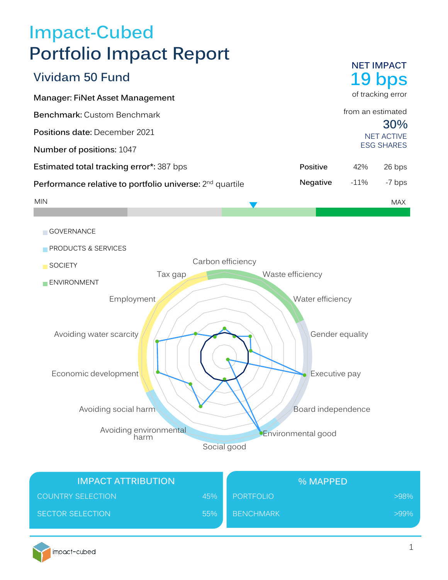# **Impact-Cubed Portfolio Impact Report**

|                                                                      |                   |                  |                  | <b>NET IMPACT</b>        |
|----------------------------------------------------------------------|-------------------|------------------|------------------|--------------------------|
| <b>Vividam 50 Fund</b>                                               |                   |                  |                  | 19 bps                   |
| Manager: FiNet Asset Management                                      |                   |                  |                  | of tracking error        |
| Benchmark: Custom Benchmark                                          |                   |                  |                  | from an estimated        |
| Positions date: December 2021                                        |                   |                  |                  | 30%<br><b>NET ACTIVE</b> |
| Number of positions: 1047                                            |                   |                  |                  | <b>ESG SHARES</b>        |
| Estimated total tracking error*: 387 bps                             |                   | Positive         | 42%              | 26 bps                   |
| Performance relative to portfolio universe: 2 <sup>nd</sup> quartile |                   | Negative         | $-11%$           | -7 bps                   |
| <b>MIN</b>                                                           |                   |                  |                  | <b>MAX</b>               |
|                                                                      |                   |                  |                  |                          |
| GOVERNANCE                                                           |                   |                  |                  |                          |
| PRODUCTS & SERVICES                                                  |                   |                  |                  |                          |
| <b>SOCIETY</b>                                                       | Carbon efficiency |                  |                  |                          |
| Tax gap<br>ENVIRONMENT                                               |                   | Waste efficiency |                  |                          |
| Employment                                                           |                   |                  | Water efficiency |                          |
|                                                                      |                   |                  |                  |                          |
| Avoiding water scarcity                                              |                   |                  | Gender equality  |                          |
| Economic development                                                 |                   |                  | Executive pay    |                          |

Avoiding environmental harm Avoiding social harm

Social good

| <b>IMPACT ATTRIBUTION</b> |     | % MAPPED         |         |
|---------------------------|-----|------------------|---------|
| <b>COUNTRY SELECTION</b>  | 45% | PORTFOLIO        | $>98\%$ |
| <b>SECTOR SELECTION</b>   | 55% | <b>BENCHMARK</b> | $>99\%$ |



Board independence

Environmental good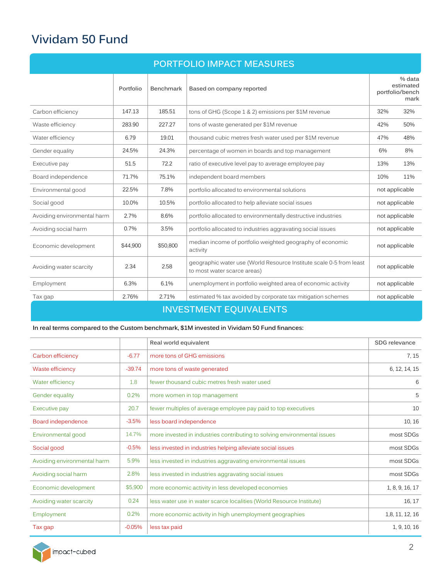# **Vividam 50 Fund**

| <b>PORTFOLIO IMPACT MEASURES</b> |           |                  |                                                                                                    |                |                                                |
|----------------------------------|-----------|------------------|----------------------------------------------------------------------------------------------------|----------------|------------------------------------------------|
|                                  | Portfolio | <b>Benchmark</b> | Based on company reported                                                                          |                | % data<br>estimated<br>portfolio/bench<br>mark |
| Carbon efficiency                | 147.13    | 185.51           | tons of GHG (Scope 1 & 2) emissions per \$1M revenue                                               | 32%            | 32%                                            |
| Waste efficiency                 | 283.90    | 227.27           | tons of waste generated per \$1M revenue                                                           | 42%            | 50%                                            |
| Water efficiency                 | 6.79      | 19.01            | thousand cubic metres fresh water used per \$1M revenue                                            | 47%            | 48%                                            |
| Gender equality                  | 24.5%     | 24.3%            | percentage of women in boards and top management                                                   | 6%             | 8%                                             |
| Executive pay                    | 51.5      | 72.2             | ratio of executive level pay to average employee pay                                               | 13%            | 13%                                            |
| Board independence               | 71.7%     | 75.1%            | independent board members                                                                          | 10%            | 11%                                            |
| Environmental good               | 22.5%     | 7.8%             | portfolio allocated to environmental solutions                                                     | not applicable |                                                |
| Social good                      | 10.0%     | 10.5%            | portfolio allocated to help alleviate social issues                                                | not applicable |                                                |
| Avoiding environmental harm      | 2.7%      | 8.6%             | portfolio allocated to environmentally destructive industries                                      | not applicable |                                                |
| Avoiding social harm             | 0.7%      | 3.5%             | portfolio allocated to industries aggravating social issues                                        | not applicable |                                                |
| Economic development             | \$44,900  | \$50.800         | median income of portfolio weighted geography of economic<br>activity                              | not applicable |                                                |
| Avoiding water scarcity          | 2.34      | 2.58             | geographic water use (World Resource Institute scale 0-5 from least<br>to most water scarce areas) | not applicable |                                                |
| Employment                       | 6.3%      | 6.1%             | unemployment in portfolio weighted area of economic activity                                       | not applicable |                                                |
| Tax gap                          | 2.76%     | 2.71%            | estimated % tax avoided by corporate tax mitigation schemes                                        | not applicable |                                                |
|                                  |           |                  | <b>INVESTMENT EOUIVALENTS</b>                                                                      |                |                                                |

#### **In real terms compared to the Custom benchmark, \$1M invested in Vividam 50 Fund finances:**

|                             |          | Real world equivalent                                                    | SDG relevance   |
|-----------------------------|----------|--------------------------------------------------------------------------|-----------------|
| Carbon efficiency           | $-6.77$  | more tons of GHG emissions                                               | 7, 15           |
| Waste efficiency            | $-39.74$ | more tons of waste generated                                             | 6, 12, 14, 15   |
| Water efficiency            | 1.8      | fewer thousand cubic metres fresh water used                             | 6               |
| Gender equality             | 0.2%     | more women in top management                                             | 5               |
| Executive pay               | 20.7     | fewer multiples of average employee pay paid to top executives           | 10              |
| Board independence          | $-3.5%$  | less board independence                                                  | 10, 16          |
| Environmental good          | 14.7%    | more invested in industries contributing to solving environmental issues | most SDGs       |
| Social good                 | $-0.5%$  | less invested in industries helping alleviate social issues              | most SDGs       |
| Avoiding environmental harm | 5.9%     | less invested in industries aggravating environmental issues             | most SDGs       |
| Avoiding social harm        | 2.8%     | less invested in industries aggravating social issues                    | most SDGs       |
| Economic development        | \$5,900  | more economic activity in less developed economies                       | 1, 8, 9, 16, 17 |
| Avoiding water scarcity     | 0.24     | less water use in water scarce localities (World Resource Institute)     | 16, 17          |
| Employment                  | 0.2%     | more economic activity in high unemployment geographies                  | 1,8, 11, 12, 16 |
| Tax gap                     | $-0.05%$ | less tax paid                                                            | 1, 9, 10, 16    |

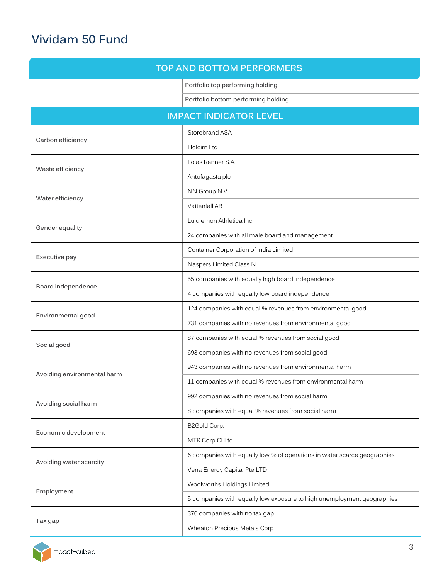# **Vividam 50 Fund**

## **TOP AND BOTTOM PERFORMERS**

**Portfolio top performing holding**

**Portfolio bottom performing holding**

# **IMPACT INDICATOR LEVEL**

|                             | Storebrand ASA                                                           |
|-----------------------------|--------------------------------------------------------------------------|
| Carbon efficiency           | Holcim Ltd                                                               |
|                             | Lojas Renner S.A.                                                        |
| Waste efficiency            | Antofagasta plc                                                          |
|                             | NN Group N.V.                                                            |
| Water efficiency            | Vattenfall AB                                                            |
| Gender equality             | Lululemon Athletica Inc                                                  |
|                             | 24 companies with all male board and management                          |
|                             | Container Corporation of India Limited                                   |
| Executive pay               | Naspers Limited Class N                                                  |
|                             | 55 companies with equally high board independence                        |
| Board independence          | 4 companies with equally low board independence                          |
|                             | 124 companies with equal % revenues from environmental good              |
| Environmental good          | 731 companies with no revenues from environmental good                   |
|                             | 87 companies with equal % revenues from social good                      |
| Social good                 | 693 companies with no revenues from social good                          |
| Avoiding environmental harm | 943 companies with no revenues from environmental harm                   |
|                             | 11 companies with equal % revenues from environmental harm               |
| Avoiding social harm        | 992 companies with no revenues from social harm                          |
|                             | 8 companies with equal % revenues from social harm                       |
| Economic development        | B2Gold Corp.                                                             |
|                             | MTR Corp CI Ltd                                                          |
| Avoiding water scarcity     | 6 companies with equally low % of operations in water scarce geographies |
|                             | Vena Energy Capital Pte LTD                                              |
| Employment                  | Woolworths Holdings Limited                                              |
|                             | 5 companies with equally low exposure to high unemployment geographies   |
| Tax gap                     | 376 companies with no tax gap                                            |
|                             | Wheaton Precious Metals Corp                                             |

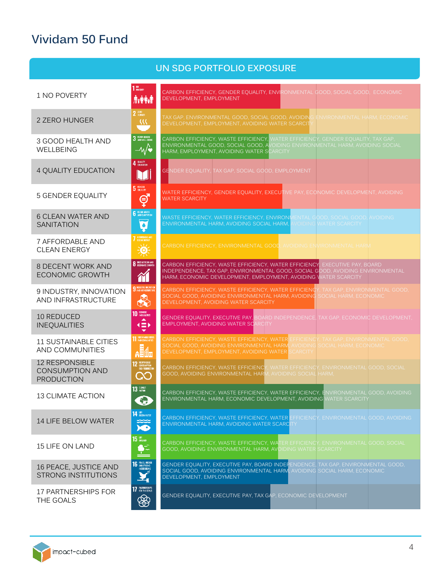# **Vividam 50 Fund**

|                                                                      |                                                                          | UN SDG PORTFOLIO EXPOSURE                                                                                                                                                                                                        |
|----------------------------------------------------------------------|--------------------------------------------------------------------------|----------------------------------------------------------------------------------------------------------------------------------------------------------------------------------------------------------------------------------|
| 1 NO POVERTY                                                         | $110$ POVERTY<br>ŃŶŃ                                                     | CARBON EFFICIENCY, GENDER EQUALITY, ENVIRONMENTAL GOOD, SOCIAL GOOD, ECONOMIC<br>DEVELOPMENT, EMPLOYMENT                                                                                                                         |
| 2 ZERO HUNGER                                                        | $2 \frac{\text{RRO}}{\text{HURGER}}$<br>$\mathcal{M}$                    | TAX GAP, ENVIRONMENTAL GOOD, SOCIAL GOOD, AVOIDING ENVIRONMENTAL HARM, ECONOMIC<br>DEVELOPMENT, EMPLOYMENT, AVOIDING WATER SCARCIT                                                                                               |
| 3 GOOD HEALTH AND<br>WELLBEING                                       | 3 GOOD HEALTH<br>$-4\sqrt{2}$                                            | CARBON EFFICIENCY, WASTE EFFICIENCY, WATER EFFICIENCY, GENDER EQUALITY, TAX GAP,<br>ENVIRONMENTAL GOOD, SOCIAL GOOD, AVOIDING ENVIRONMENTAL HARM, AVOIDING SOCIAL<br>HARM, EMPLOYMENT, AVOIDING WATER SCARCITY                   |
| 4 QUALITY EDUCATION                                                  | 4 QUALITY<br>M                                                           | GENDER EQUALITY, TAX GAP, SOCIAL GOOD, EMPLOYMENT                                                                                                                                                                                |
| <b>5 GENDER EQUALITY</b>                                             | 5 GENDER<br>ģ                                                            | WATER EFFICIENCY, GENDER EQUALITY, EXECUTIVE PAY, ECONOMIC DEVELOPMENT, AVOIDING<br><b>WATER SCARCITY</b>                                                                                                                        |
| <b>6 CLEAN WATER AND</b><br><b>SANITATION</b>                        | <b>6</b> CLEAR WATER<br>Ģ                                                | WASTE EFFICIENCY, WATER EFFICIENCY, ENVIRONMENTAL GOOD, SOCIAL GOOD, AVOIDING<br>ENVIRONMENTAL HARM, AVOIDING SOCIAL HARM,<br><b>VOIDING WATER SCARCITY</b>                                                                      |
| 7 AFFORDABLE AND<br><b>CLEAN ENERGY</b>                              | AFFORDABLE AND<br>Clean energy<br>美                                      | CARBON EFFICIENCY, ENVIRONMENTAL GOOD, AVOIDING ENVIRONMENTAL HARM                                                                                                                                                               |
| 8 DECENT WORK AND<br><b>ECONOMIC GROWTH</b>                          | <b>8</b> DECENT WORK AND<br>简                                            | CARBON EFFICIENCY, WASTE EFFICIENCY, WATER EFFICIENCY, EXECUTIVE PAY, BOARD<br>INDEPENDENCE, TAX GAP, ENVIRONMENTAL GOOD, SOCIAL GOOD, AVOIDING ENVIRONMENTAL<br>HARM, ECONOMIC DEVELOPMENT, EMPLOYMENT, AVOIDING WATER SCARCITY |
| 9 INDUSTRY, INNOVATION<br>AND INFRASTRUCTURE                         | <b>9</b> MOUSTRY, INVERSITED<br>$\clubsuit$                              | CARBON EFFICIENCY, WASTE EFFICIENCY, WATER EFFICIENCY, TAX GAP, ENVIRONMENTAL GOOD,<br>SOCIAL GOOD, AVOIDING ENVIRONMENTAL HARM, AVOIDING SOCIAL HARM, ECONOMIC<br>DEVELOPMENT, AVOIDING WATER SCARCITY                          |
| 10 REDUCED<br><b>INEQUALITIES</b>                                    | 10 REPORTING<br>▲<br>$\left( \equiv \right)$<br>$\overline{\phantom{0}}$ | GENDER EQUALITY, EXECUTIVE PAY, BOARD INDEPENDENCE, TAX GAP, ECONOMIC DEVELOPMENT,<br><b>EMPLOYMENT, AVOIDING WATER SCARCITY</b>                                                                                                 |
| <b>11 SUSTAINABLE CITIES</b><br>AND COMMUNITIES                      | <b>11 SUSTAINABLE CITTES</b><br><b>AHA</b>                               | CARBON EFFICIENCY, WASTE EFFICIENCY, WATER EFFICIENCY, TAX GAP, ENVIRONMENTAL GOOD,<br>SOCIAL GOOD, AVOIDING ENVIRONMENTAL HARM, AVOIDING SOCIAL HARM, ECONOMIC<br>DEVELOPMENT, EMPLOYMENT, AVOIDING WATER SCARCITY              |
| <b>12 RESPONSIBLE</b><br><b>CONSUMPTION AND</b><br><b>PRODUCTION</b> | <b>12</b> ELESPONSIBLE<br>AND FRODUCTION<br>$\infty$                     | CARBON EFFICIENCY, WASTE EFFICIENCY<br>WATER EFFICIENCY, ENVIRONMENTAL GOOD, SOCIAL<br>GOOD, AVOIDING ENVIRONMENTAL HARM, AVOIDING SOCIAL HARM,                                                                                  |
| <b>13 CLIMATE ACTION</b>                                             | $13$ $\frac{\text{CUMTE}}{\text{ACDM}}$<br>5.                            | CARBON EFFICIENCY, WASTE EFFICIENCY, WATER EFFICIENCY, ENVIRONMENTAL GOOD, AVOIDING<br>ENVIRONMENTAL HARM. ECONOMIC DEVELOPMENT, AVOIDING WATER SCARCITY                                                                         |
| 14 LIFE BELOW WATER                                                  | 14 BROWWER<br>$\sum_{i=1}^{\infty}$                                      | CARBON EFFICIENCY, WASTE EFFICIENCY, WATER EFFICIENCY, ENVIRONMENTAL GOOD, AVOIDING<br>ENVIRONMENTAL HARM, AVOIDING WATER SCARCITY                                                                                               |
| <b>15 LIFE ON LAND</b>                                               | $15$ $\frac{45}{90}$ $\frac{1}{20}$                                      | CARBON EFFICIENCY, WASTE EFFICIENCY, WATER EFFICIENCY, ENVIRONMENTAL GOOD, SOCIAL<br>GOOD, AVOIDING ENVIRONMENTAL HARM, AVOIDING WATER SCARCITY                                                                                  |
| 16 PEACE, JUSTICE AND<br><b>STRONG INSTITUTIONS</b>                  | <b>16</b> PEACE, JUSTICE<br>INSTITUTIONS                                 | GENDER EQUALITY, EXECUTIVE PAY, BOARD INDEPENDENCE, TAX GAP, ENVIRONMENTAL GOOD,<br>SOCIAL GOOD, AVOIDING ENVIRONMENTAL HARM, AVOIDING SOCIAL HARM, ECONOMIC<br>DEVELOPMENT, EMPLOYMENT                                          |
| 17 PARTNERSHIPS FOR<br>THE GOALS                                     | 17 PARTHERSHIPS<br>❀                                                     | GENDER EQUALITY, EXECUTIVE PAY, TAX GAP, ECONOMIC DEVELOPMENT                                                                                                                                                                    |

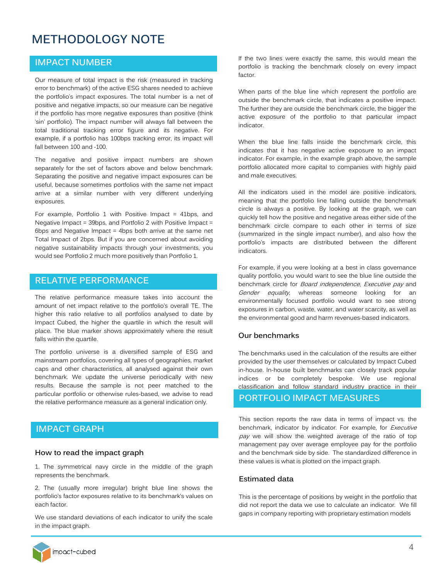# **METHODOLOGY NOTE**

## **IMPACT NUMBER**

Our measure of total impact is the risk (measured in tracking error to benchmark) of the active ESG shares needed to achieve the portfolio's impact exposures. The total number is a net of positive and negative impacts, so our measure can be negative if the portfolio has more negative exposures than positive (think 'sin' portfolio). The impact number will always fall between the total traditional tracking error figure and its negative. For example, if a portfolio has 100bps tracking error, its impact will fall between 100 and -100.

The negative and positive impact numbers are shown separately for the set of factors above and below benchmark. Separating the positive and negative impact exposures can be useful, because sometimes portfolios with the same net impact arrive at a similar number with very different underlying exposures.

For example, Portfolio 1 with Positive Impact = 41bps, and Negative Impact = 39bps, and Portfolio 2 with Positive Impact = 6bps and Negative Impact = 4bps both arrive at the same net Total Impact of 2bps. But if you are concerned about avoiding negative sustainability impacts through your investments, you would see Portfolio 2 much more positively than Portfolio 1.

### **RELATIVE PERFORMANCE**

The relative performance measure takes into account the amount of net impact relative to the portfolio's overall TE. The higher this ratio relative to all portfolios analysed to date by Impact Cubed, the higher the quartile in which the result will place. The blue marker shows approximately where the result falls within the quartile.

The portfolio universe is a diversified sample of ESG and mainstream portfolios, covering all types of geographies, market caps and other characteristics, all analysed against their own benchmark. We update the universe periodically with new results. Because the sample is not peer matched to the particular portfolio or otherwise rules-based, we advise to read the relative performance measure as a general indication only.

## **IMPACT GRAPH**

#### **How to read the impact graph**

1. The symmetrical navy circle in the middle of the graph represents the benchmark.

2. The (usually more irregular) bright blue line shows the portfolio's factor exposures relative to its benchmark's values on each factor.

We use standard deviations of each indicator to unify the scale in the impact graph.

If the two lines were exactly the same, this would mean the portfolio is tracking the benchmark closely on every impact factor.

When parts of the blue line which represent the portfolio are outside the benchmark circle, that indicates a positive impact. The further they are outside the benchmark circle, the bigger the active exposure of the portfolio to that particular impact indicator.

When the blue line falls inside the benchmark circle, this indicates that it has negative active exposure to an impact indicator. For example, in the example graph above, the sample portfolio allocated more capital to companies with highly paid and male executives.

All the indicators used in the model are positive indicators, meaning that the portfolio line falling outside the benchmark circle is always a positive. By looking at the graph, we can quickly tell how the positive and negative areas either side of the benchmark circle compare to each other in terms of size (summarized in the single impact number), and also how the portfolio's impacts are distributed between the different indicators.

For example, if you were looking at a best in class governance quality portfolio, you would want to see the blue line outside the benchmark circle for *Board independence*, *Executive pay* and Gender equality, whereas someone looking for an environmentally focused portfolio would want to see strong exposures in carbon, waste, water, and water scarcity, as well as the environmental good and harm revenues-based indicators.

#### **Our benchmarks**

The benchmarks used in the calculation of the results are either provided by the user themselves or calculated by Impact Cubed in-house. In-house built benchmarks can closely track popular indices or be completely bespoke. We use regional classification and follow standard industry practice in their

# **PORTFOLIO IMPACT MEASURES**

This section reports the raw data in terms of impact vs. the benchmark, indicator by indicator. For example, for *Executive* pay we will show the weighted average of the ratio of top management pay over average employee pay for the portfolio and the benchmark side by side. The standardized difference in these values is what is plotted on the impact graph.

#### **Estimated data**

This is the percentage of positions by weight in the portfolio that did not report the data we use to calculate an indicator. We fill gaps in company reporting with proprietary estimation models

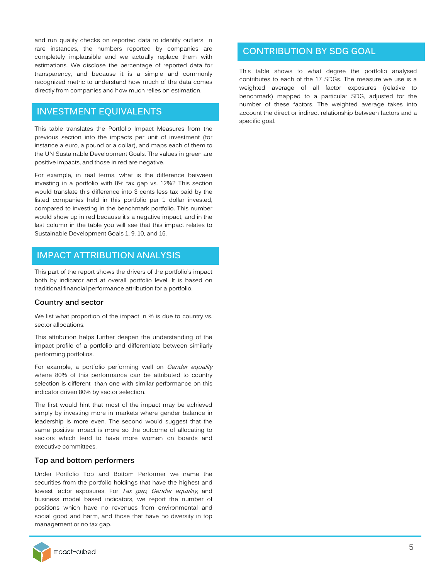and run quality checks on reported data to identify outliers. In rare instances, the numbers reported by companies are completely implausible and we actually replace them with estimations. We disclose the percentage of reported data for transparency, and because it is a simple and commonly recognized metric to understand how much of the data comes directly from companies and how much relies on estimation.

## **INVESTMENT EQUIVALENTS**

This table translates the Portfolio Impact Measures from the previous section into the impacts per unit of investment (for instance a euro, a pound or a dollar), and maps each of them to the UN Sustainable Development Goals. The values in green are positive impacts, and those in red are negative.

For example, in real terms, what is the difference between investing in a portfolio with 8% tax gap vs. 12%? This section would translate this difference into 3 cents less tax paid by the listed companies held in this portfolio per 1 dollar invested, compared to investing in the benchmark portfolio. This number would show up in red because it's a negative impact, and in the last column in the table you will see that this impact relates to Sustainable Development Goals 1, 9, 10, and 16.

# **IMPACT ATTRIBUTION ANALYSIS**

This part of the report shows the drivers of the portfolio's impact both by indicator and at overall portfolio level. It is based on traditional financial performance attribution for a portfolio.

#### **Country and sector**

We list what proportion of the impact in % is due to country vs. sector allocations.

This attribution helps further deepen the understanding of the impact profile of a portfolio and differentiate between similarly performing portfolios.

For example, a portfolio performing well on Gender equality where 80% of this performance can be attributed to country selection is different than one with similar performance on this indicator driven 80% by sector selection.

The first would hint that most of the impact may be achieved simply by investing more in markets where gender balance in leadership is more even. The second would suggest that the same positive impact is more so the outcome of allocating to sectors which tend to have more women on boards and executive committees.

#### **Top and bottom performers**

Under Portfolio Top and Bottom Performer we name the securities from the portfolio holdings that have the highest and lowest factor exposures. For Tax gap, Gender equality, and business model based indicators, we report the number of positions which have no revenues from environmental and social good and harm, and those that have no diversity in top management or no tax gap.

# impact-cubed

# **CONTRIBUTION BY SDG GOAL**

This table shows to what degree the portfolio analysed contributes to each of the 17 SDGs. The measure we use is a weighted average of all factor exposures (relative to benchmark) mapped to a particular SDG, adjusted for the number of these factors. The weighted average takes into account the direct or indirect relationship between factors and a specific goal.